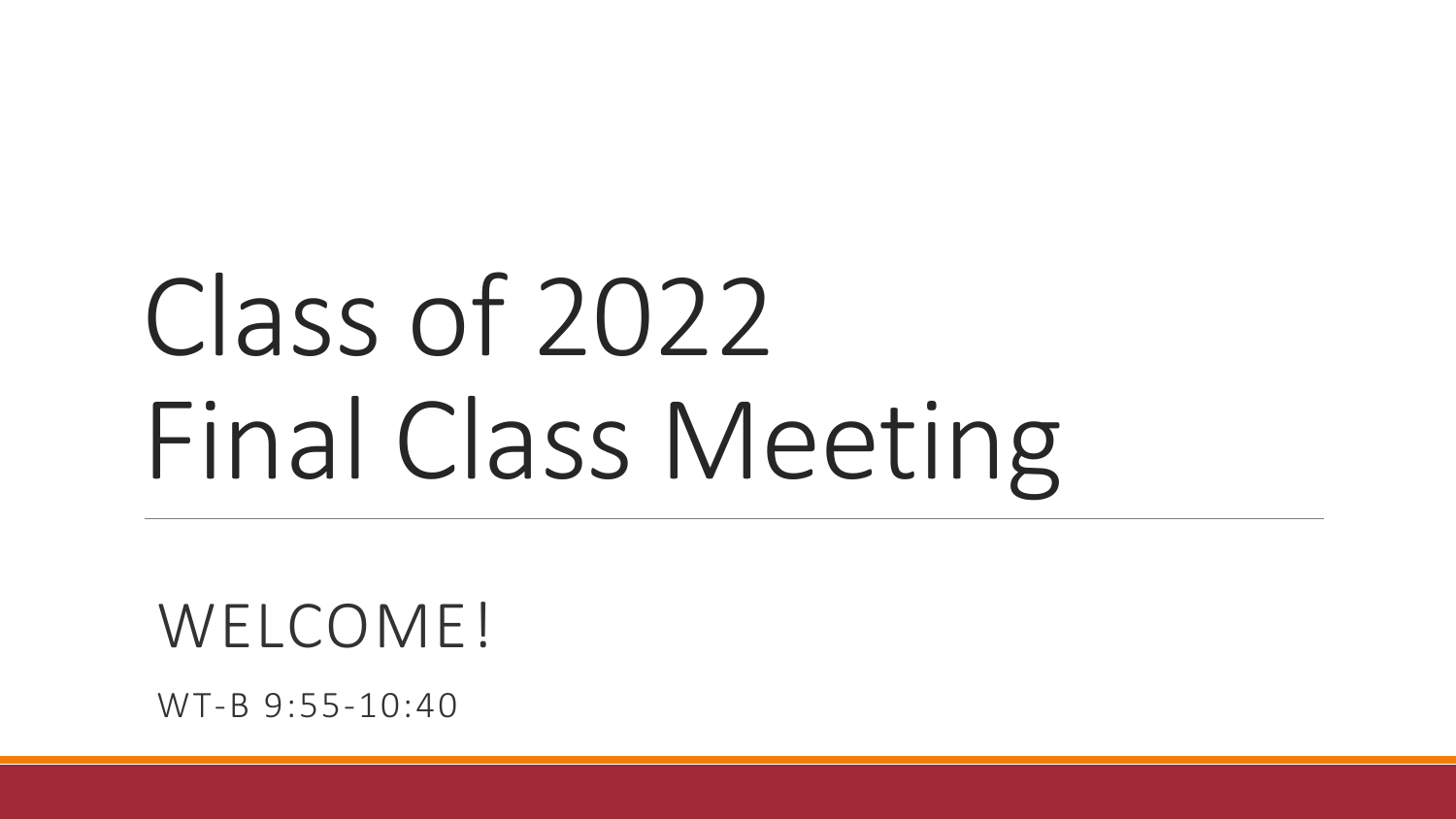# Class of 2022 Final Class Meeting

WELCOME!

WT-B 9:55-10:40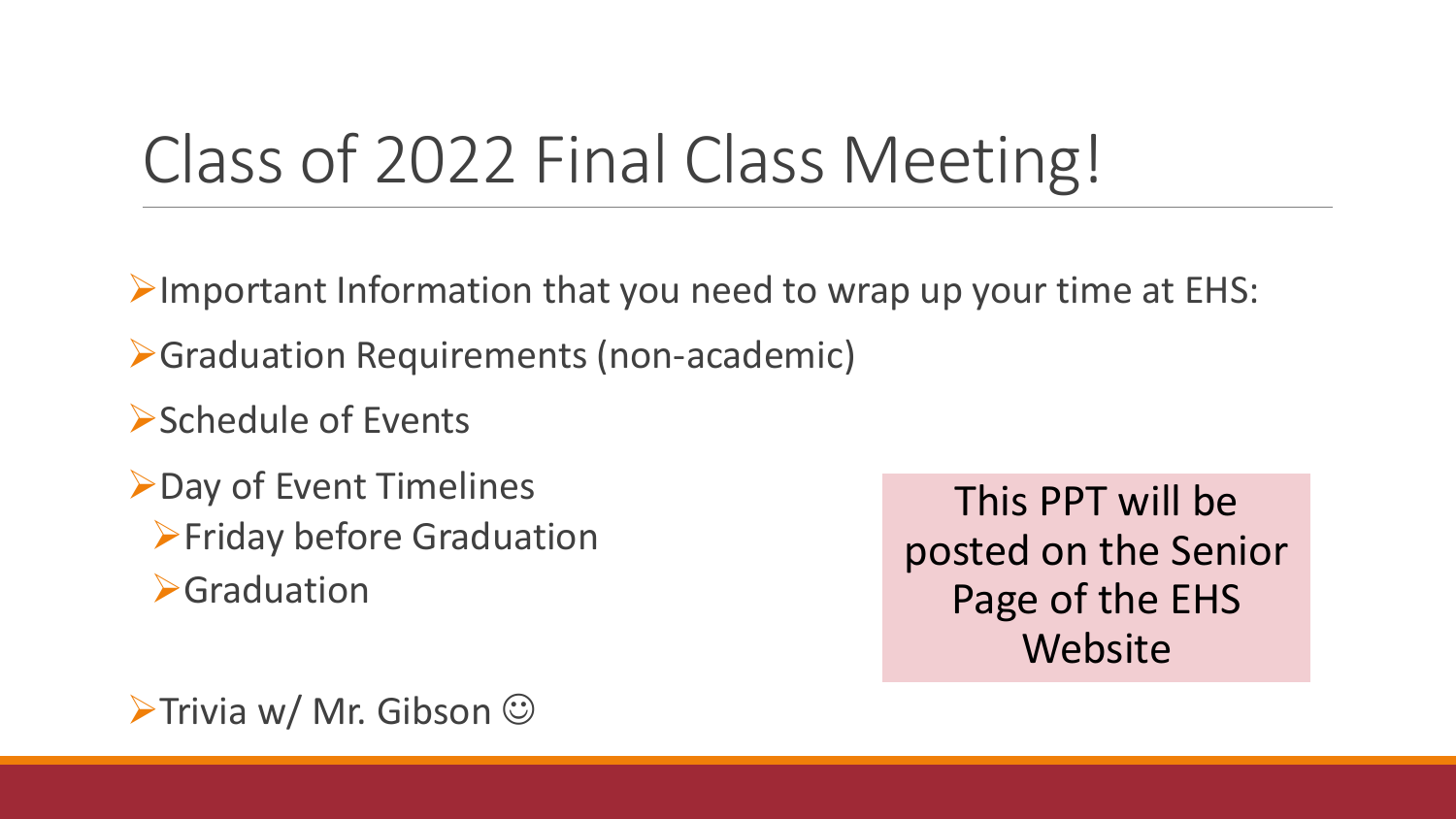## Class of 2022 Final Class Meeting!

 $\triangleright$ Important Information that you need to wrap up your time at EHS:

Graduation Requirements (non-academic)

Schedule of Events

**≻Day of Event Timelines >Friday before Graduation S**Graduation

This PPT will be posted on the Senior Page of the EHS Website

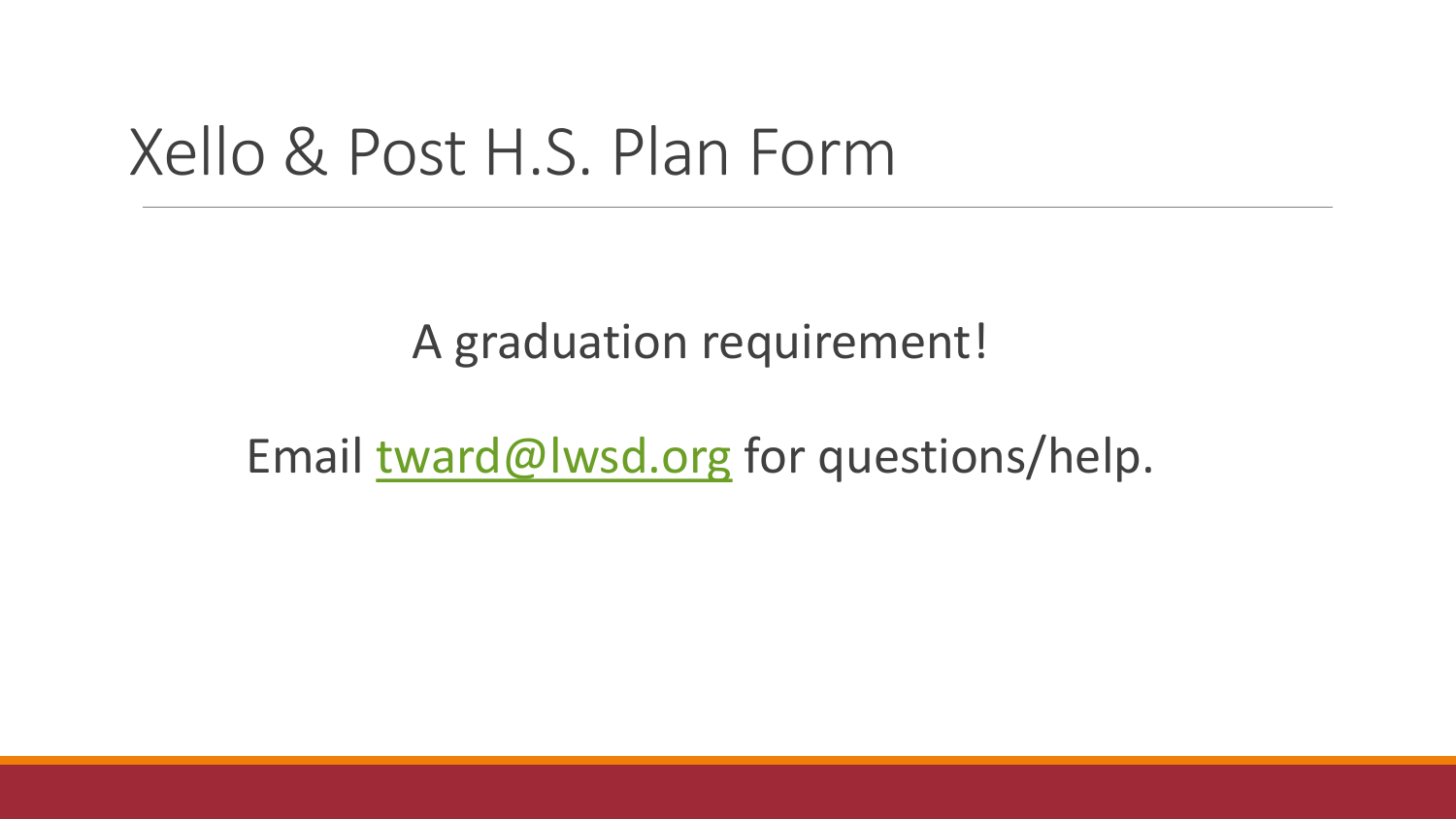#### Xello & Post H.S. Plan Form

A graduation requirement!

Email [tward@lwsd.org](mailto:tward@lwsd.org) for questions/help.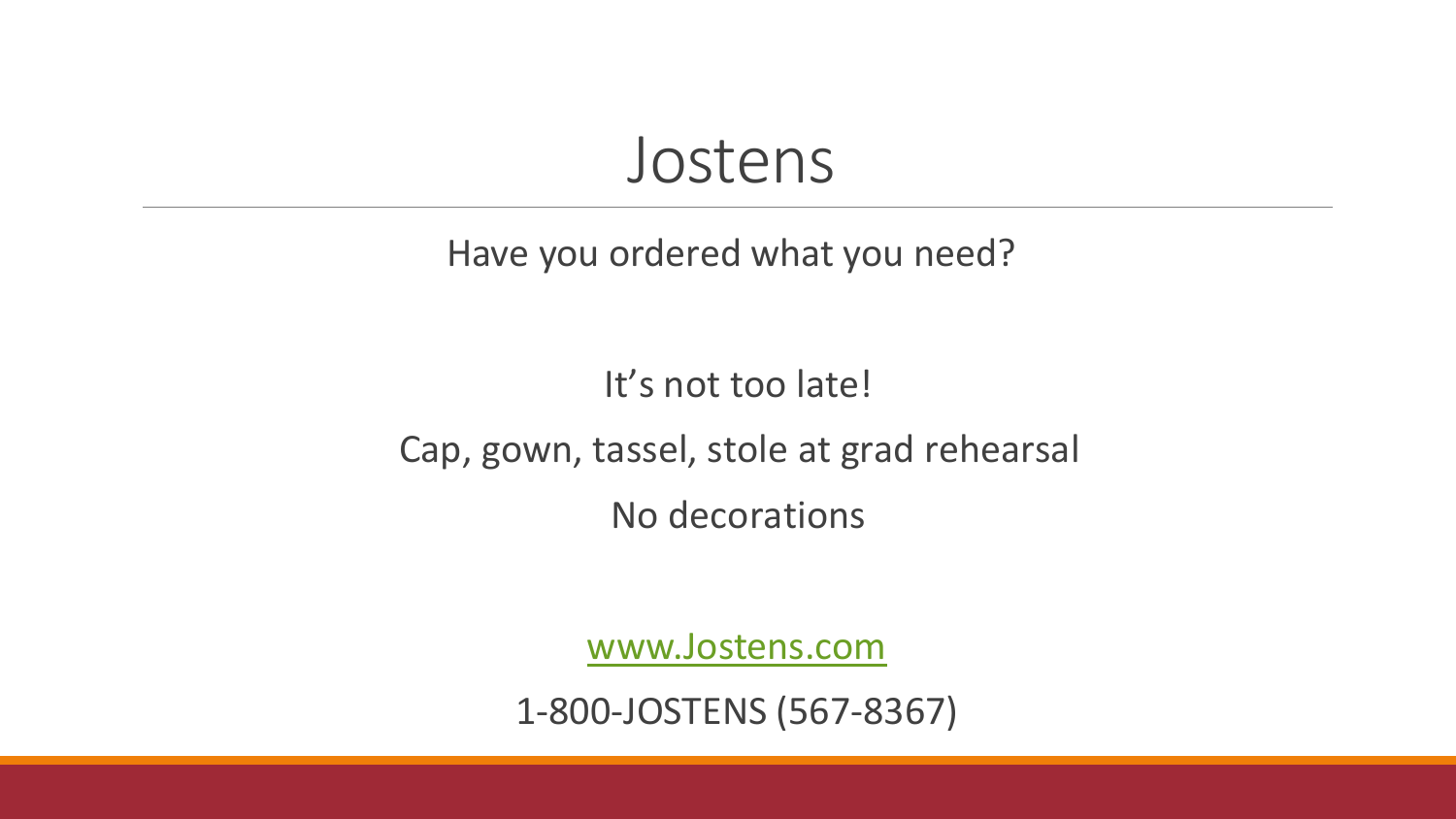#### Jostens

#### Have you ordered what you need?

#### It's not too late!

#### Cap, gown, tassel, stole at grad rehearsal

No decorations

[www.Jostens.com](http://www.jostens.com/)

1-800-JOSTENS (567-8367)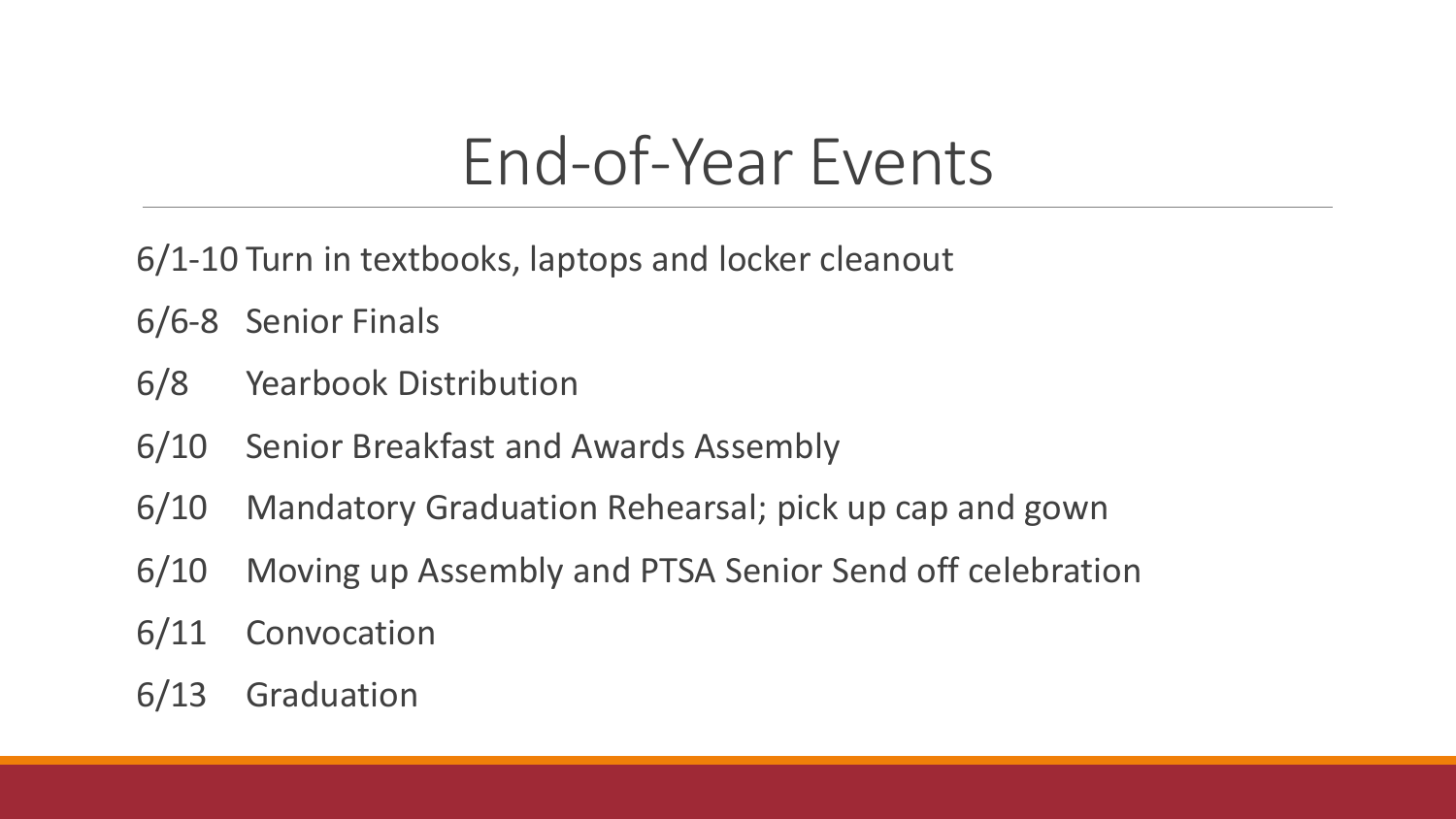### End-of-Year Events

6/1-10 Turn in textbooks, laptops and locker cleanout

- 6/6-8 Senior Finals
- 6/8 Yearbook Distribution
- 6/10 Senior Breakfast and Awards Assembly
- 6/10 Mandatory Graduation Rehearsal; pick up cap and gown
- 6/10 Moving up Assembly and PTSA Senior Send off celebration
- 6/11 Convocation
- 6/13 Graduation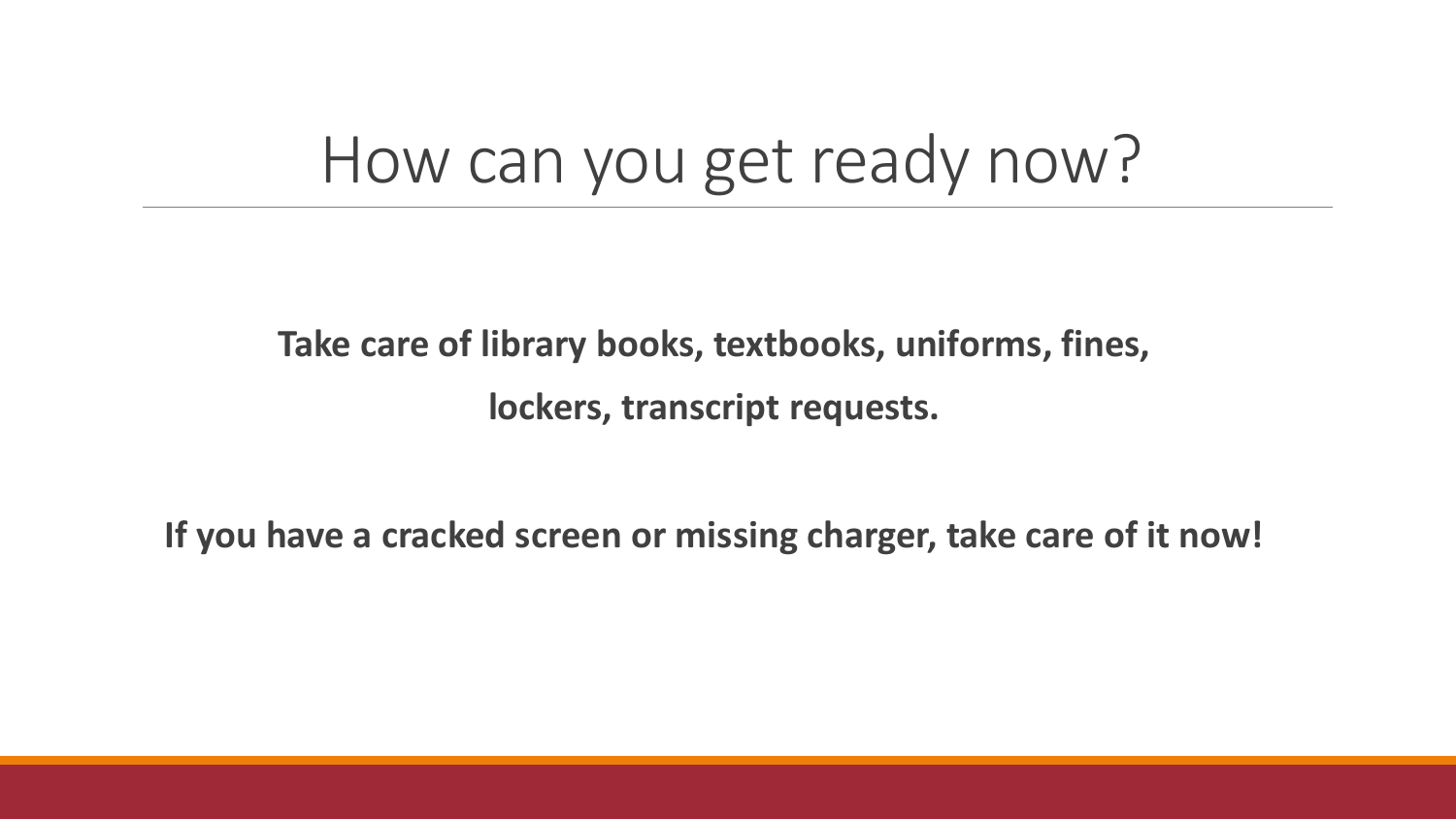#### How can you get ready now?

**Take care of library books, textbooks, uniforms, fines, lockers, transcript requests.** 

**If you have a cracked screen or missing charger, take care of it now!**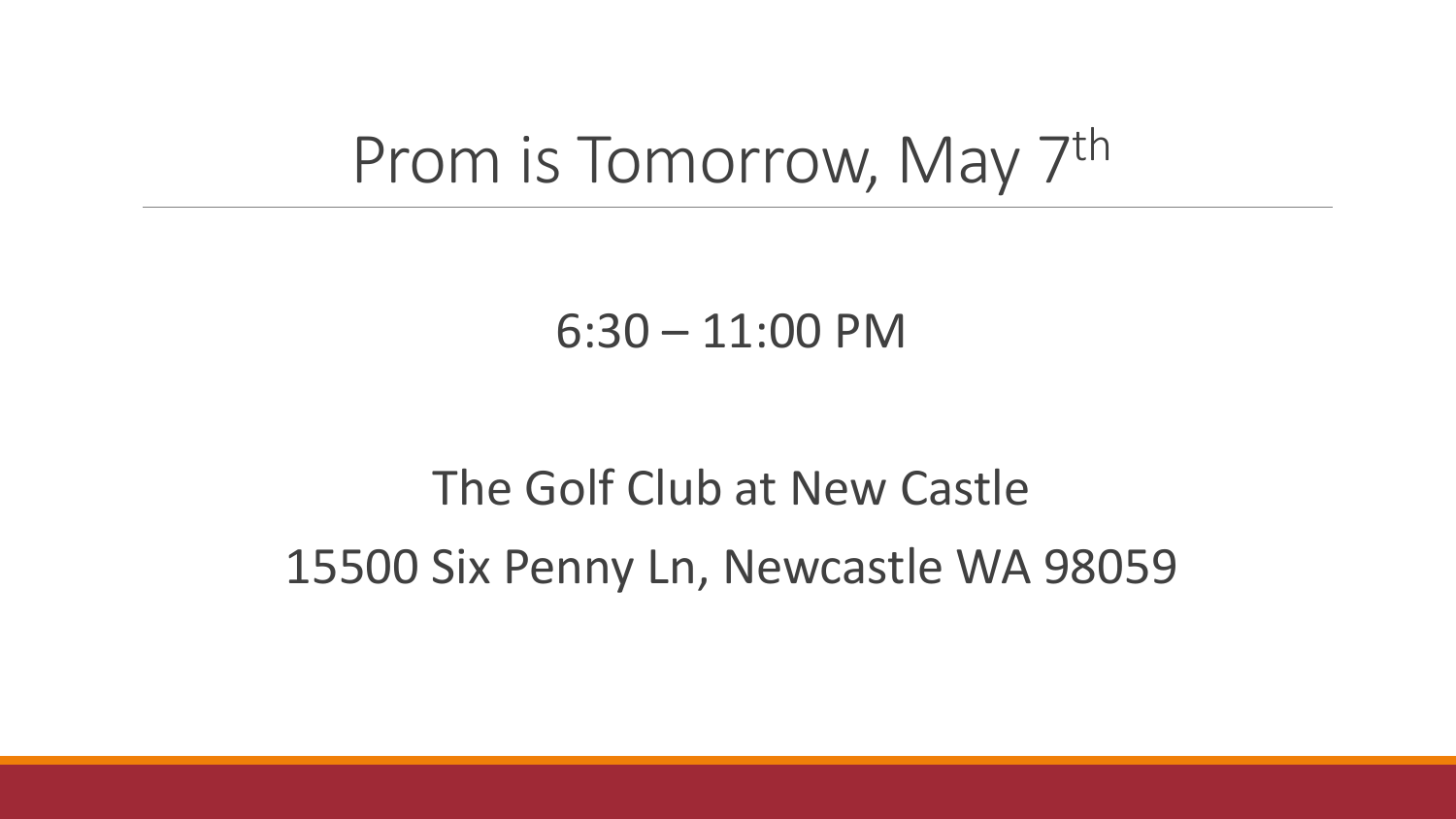#### Prom is Tomorrow, May 7th

#### 6:30 – 11:00 PM

#### The Golf Club at New Castle 15500 Six Penny Ln, Newcastle WA 98059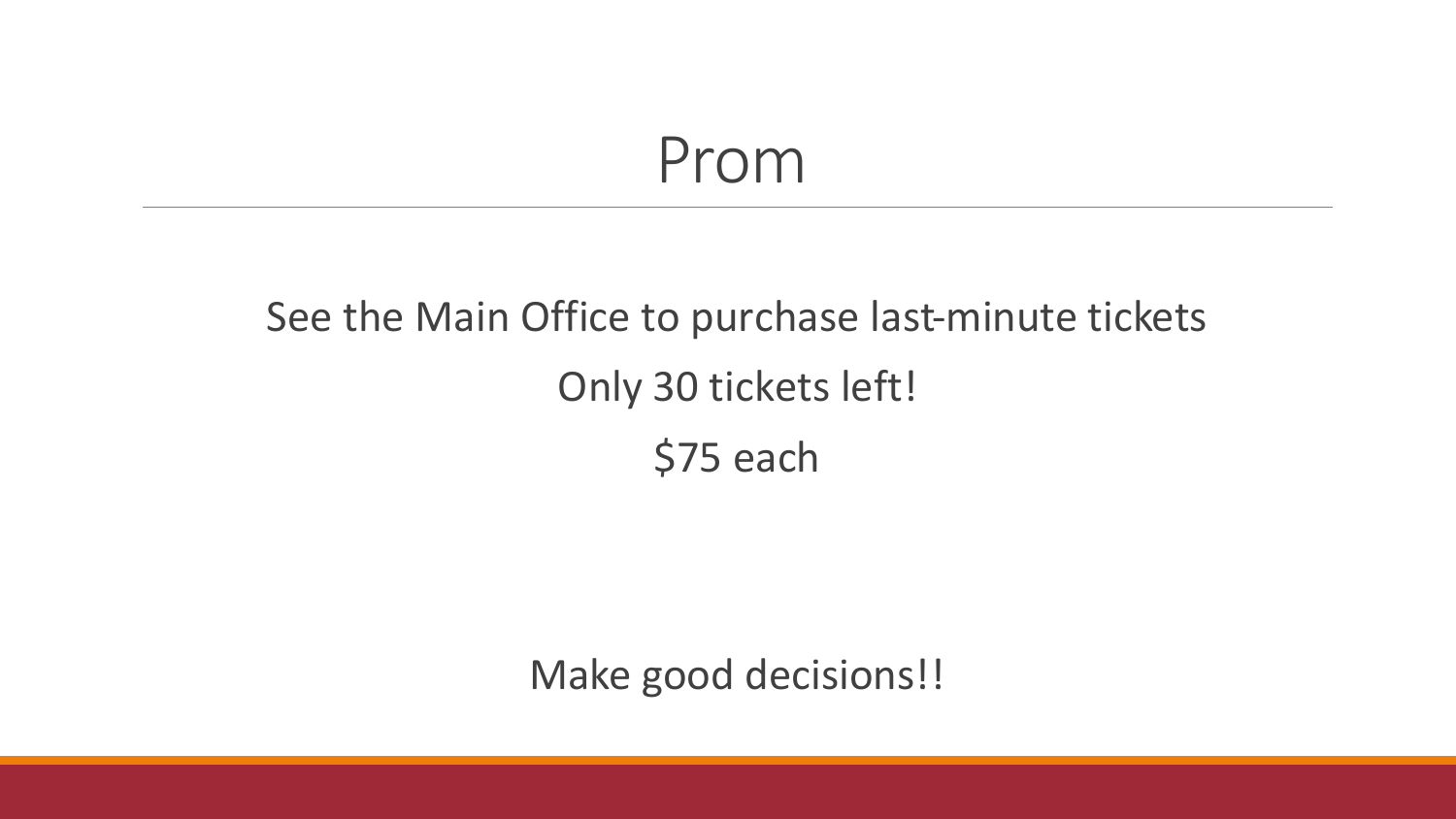#### Prom

#### See the Main Office to purchase last-minute tickets Only 30 tickets left! \$75 each

Make good decisions!!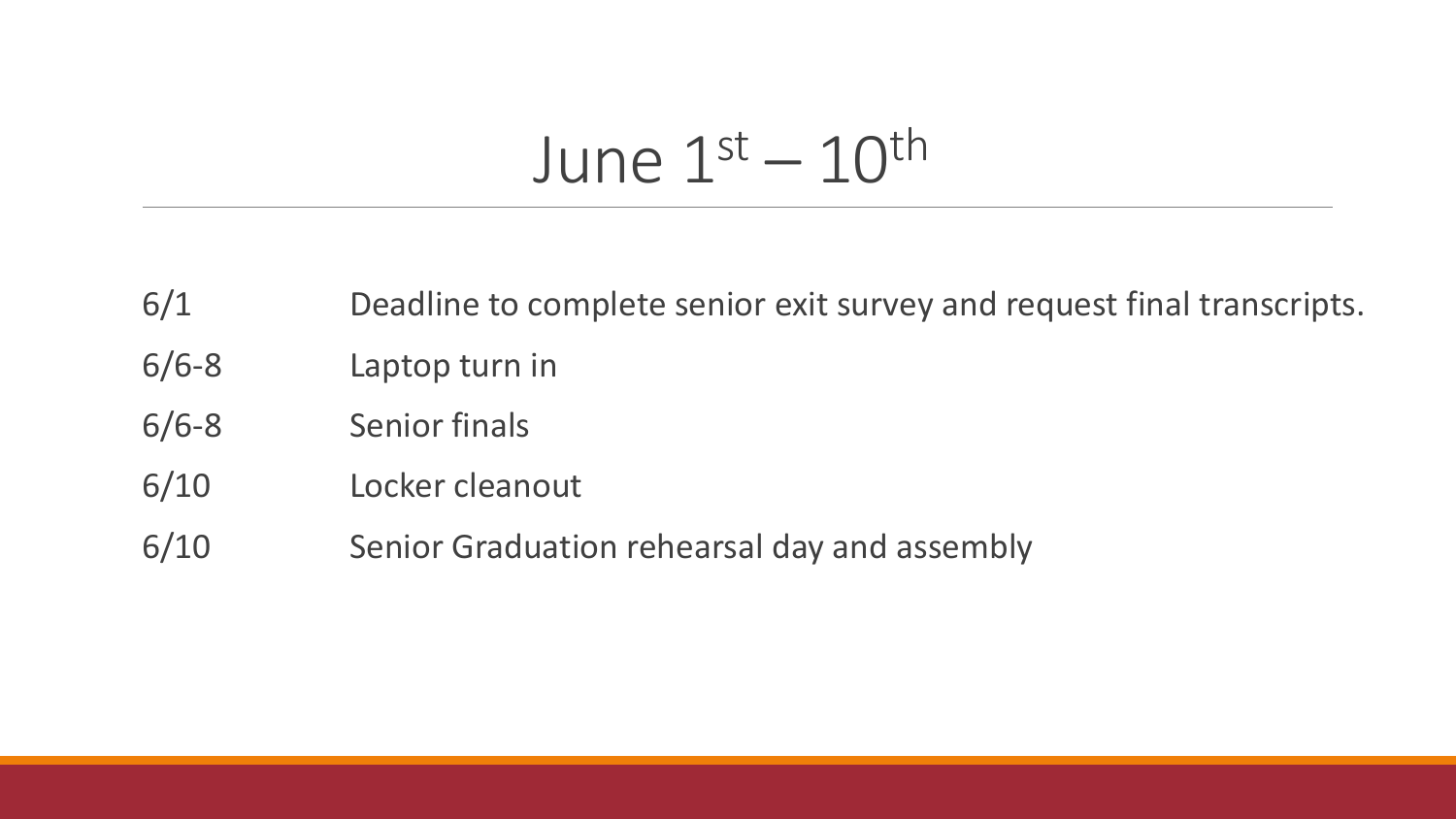### June  $1^\text{st} - 10^\text{th}$

- 6/1 Deadline to complete senior exit survey and request final transcripts.
- 6/6-8 Laptop turn in
- 6/6-8 Senior finals
- 6/10 Locker cleanout
- 6/10 Senior Graduation rehearsal day and assembly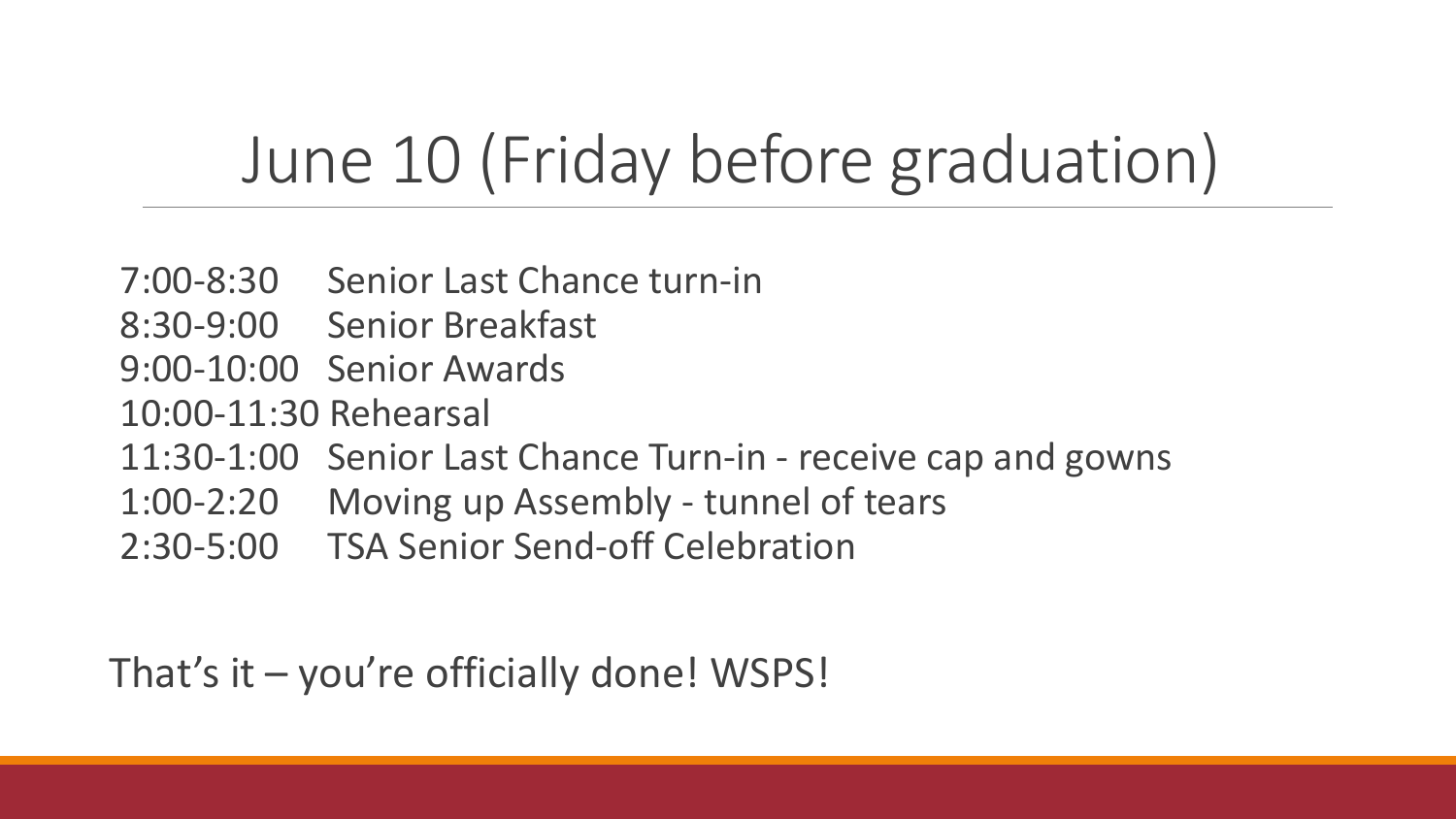## June 10 (Friday before graduation)

- 7:00-8:30 Senior Last Chance turn-in
- 8:30-9:00 Senior Breakfast
- 9:00-10:00 Senior Awards
- 10:00-11:30 Rehearsal
- 11:30-1:00 Senior Last Chance Turn-in receive cap and gowns
- 1:00-2:20 Moving up Assembly tunnel of tears
- 2:30-5:00 TSA Senior Send-off Celebration

That's it – you're officially done! WSPS!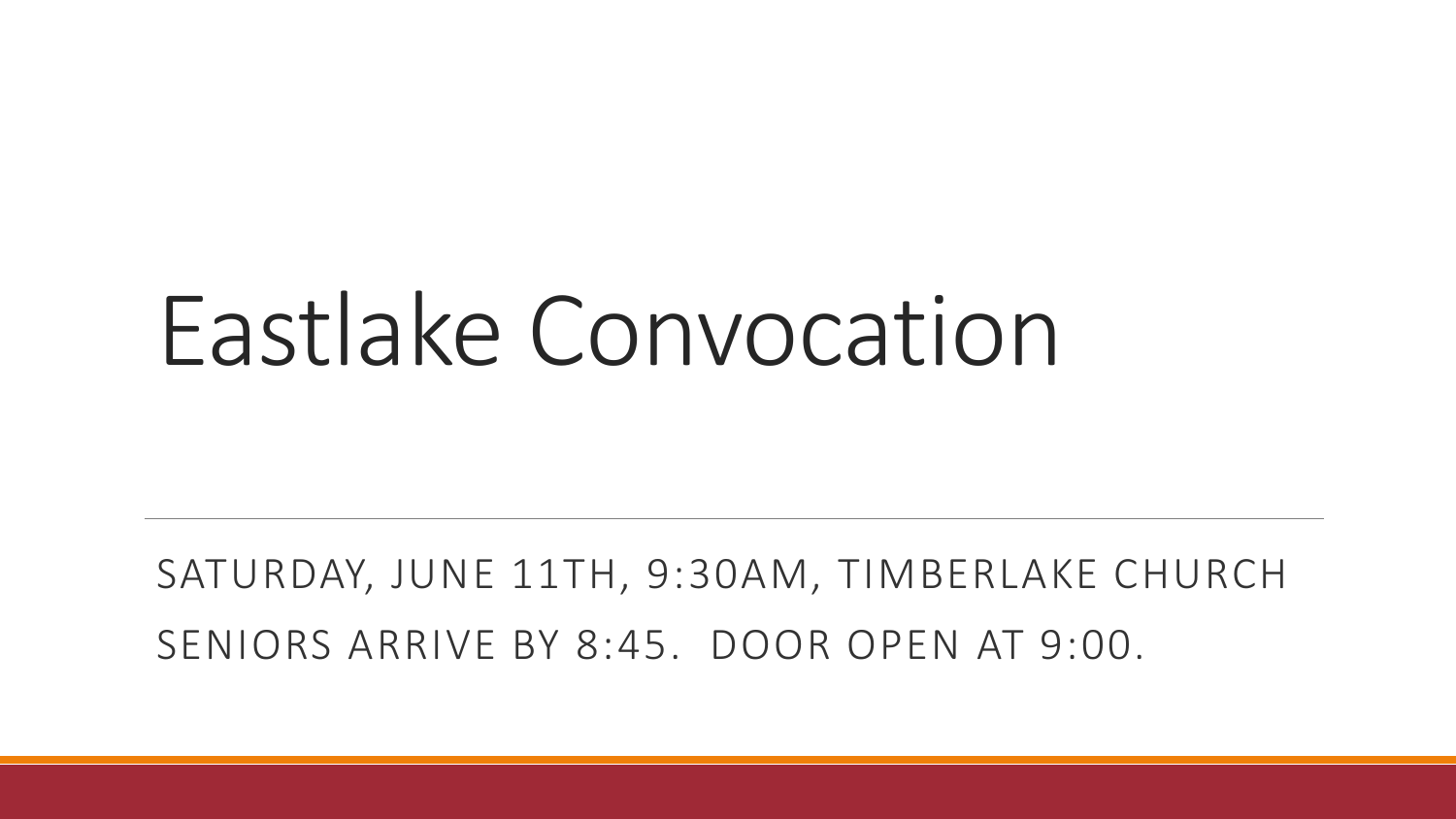## Eastlake Convocation

SATURDAY, JUNE 11TH, 9:30AM, TIMBERLAKE CHURCH SENIORS ARRIVE BY 8:45. DOOR OPEN AT 9:00.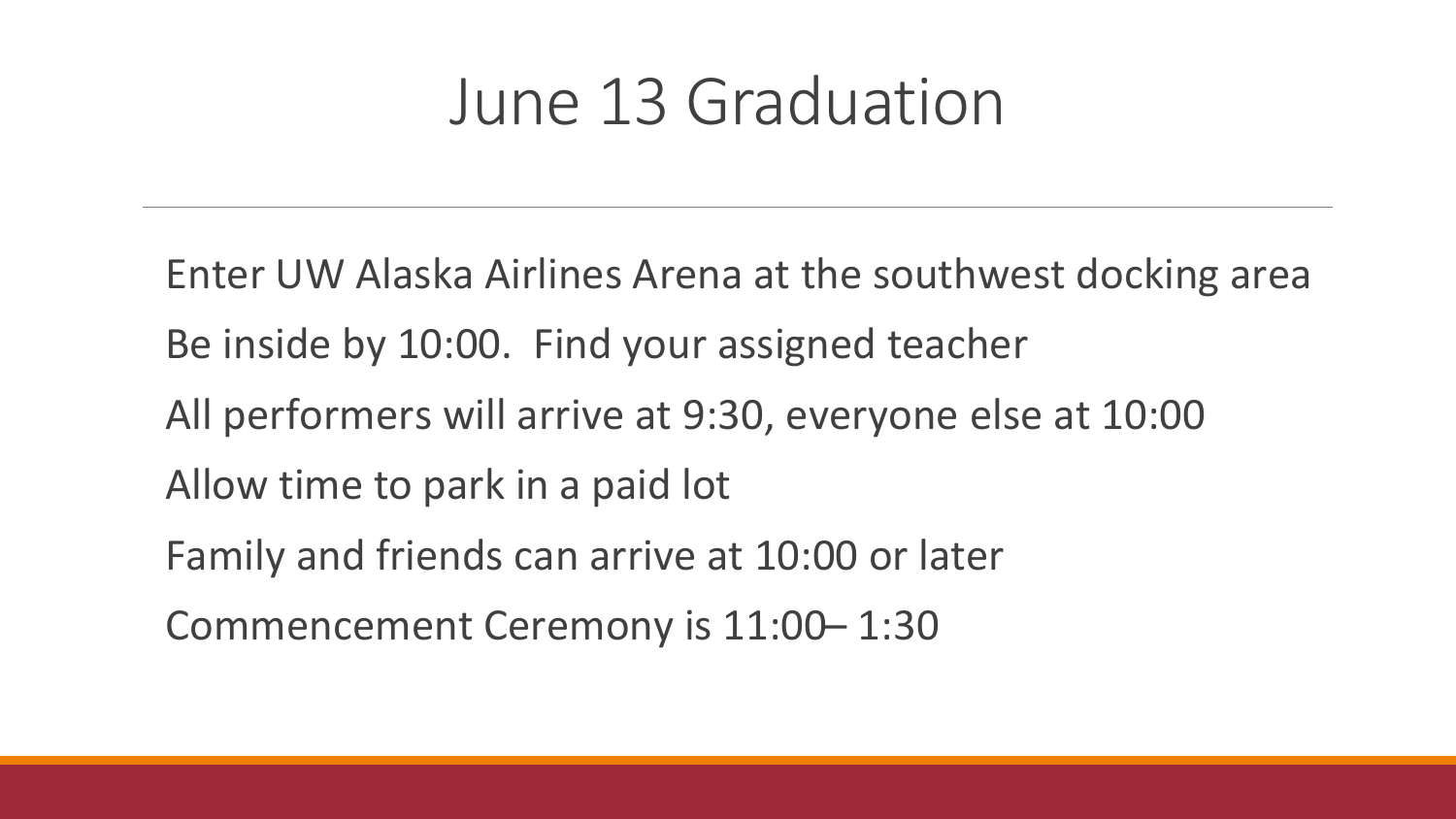#### June 13 Graduation

Enter UW Alaska Airlines Arena at the southwest docking area Be inside by 10:00. Find your assigned teacher All performers will arrive at 9:30, everyone else at 10:00 Allow time to park in a paid lot Family and friends can arrive at 10:00 or later Commencement Ceremony is 11:00– 1:30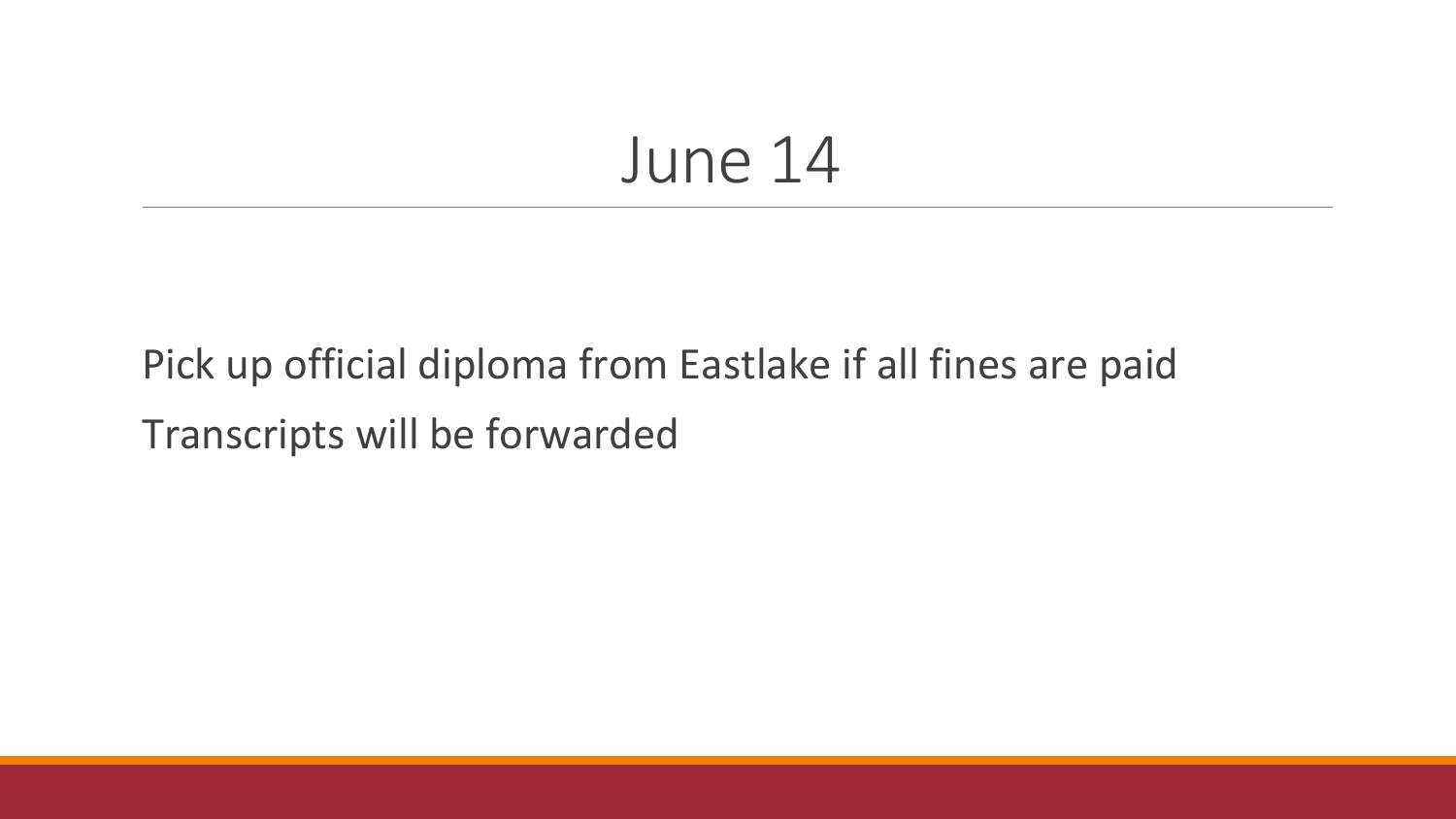#### June 14

#### Pick up official diploma from Eastlake if all fines are paid Transcripts will be forwarded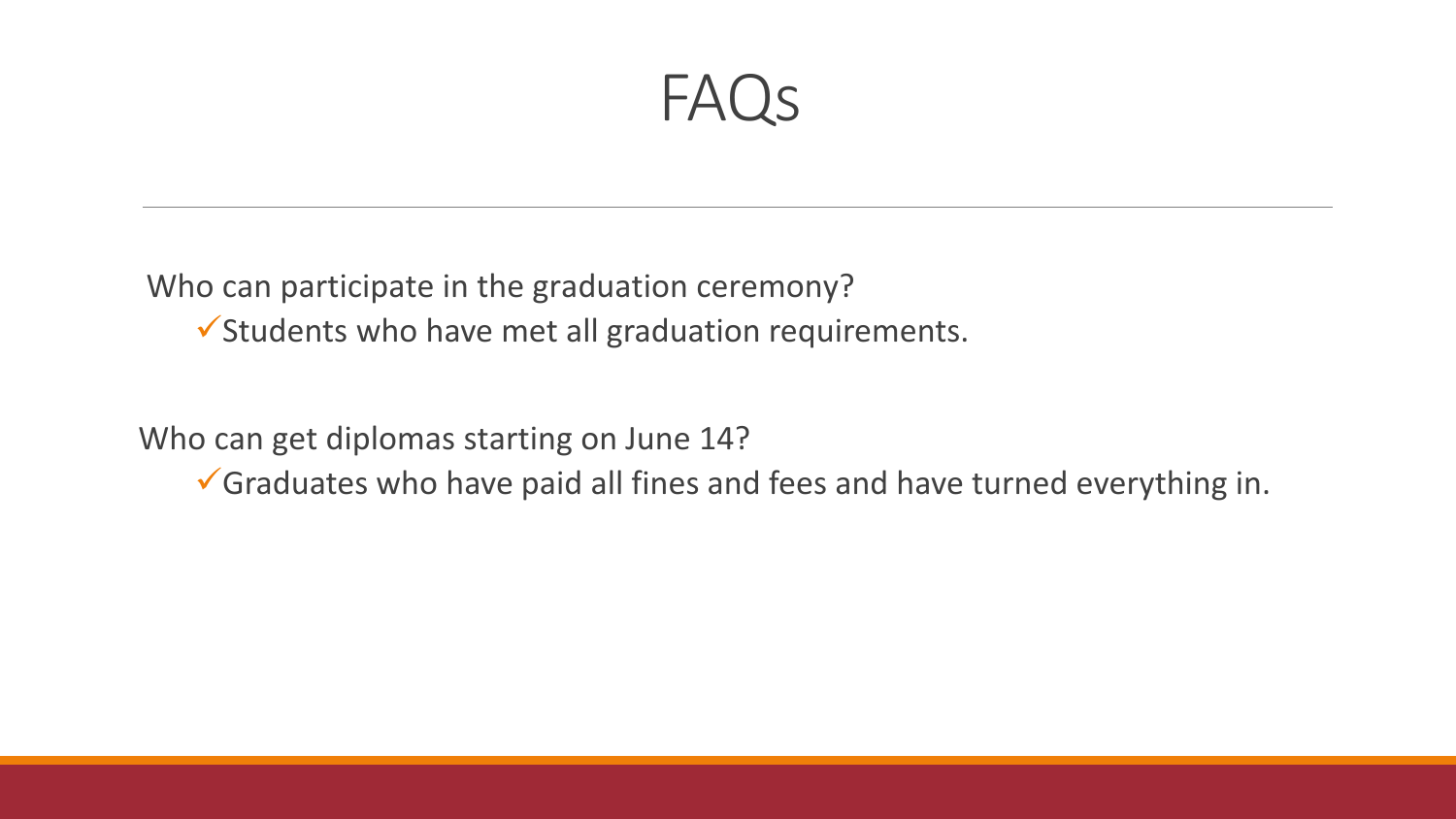FAQs

Who can participate in the graduation ceremony?

 $\checkmark$  Students who have met all graduation requirements.

Who can get diplomas starting on June 14?

Graduates who have paid all fines and fees and have turned everything in.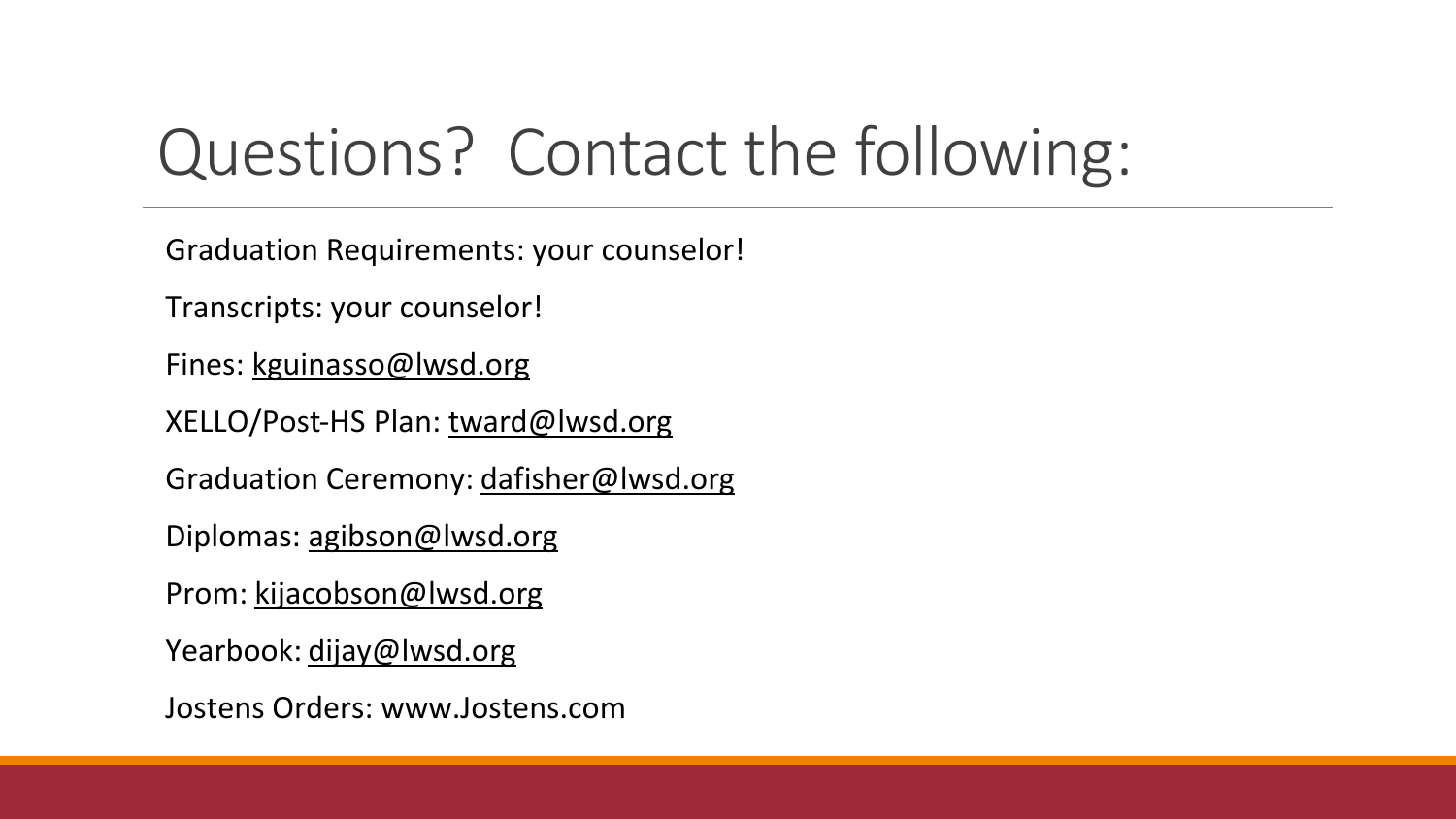## Questions? Contact the following:

Graduation Requirements: your counselor!

Transcripts: your counselor!

Fines: [kguinasso@lwsd.org](mailto:kguinasso@lwsd.org)

XELLO/Post-HS Plan: [tward@lwsd.org](mailto:tward@lwsd.org)

Graduation Ceremony: [dafisher@lwsd.org](mailto:dafisher@lwsd.org)

Diplomas: [agibson@lwsd.org](mailto:agibson@lwsd.org)

Prom: [kijacobson@lwsd.org](mailto:kijacobson@lwsd.org)

Yearbook: [dijay@lwsd.org](mailto:dijay@lwsd.org)

Jostens Orders: www.Jostens.com